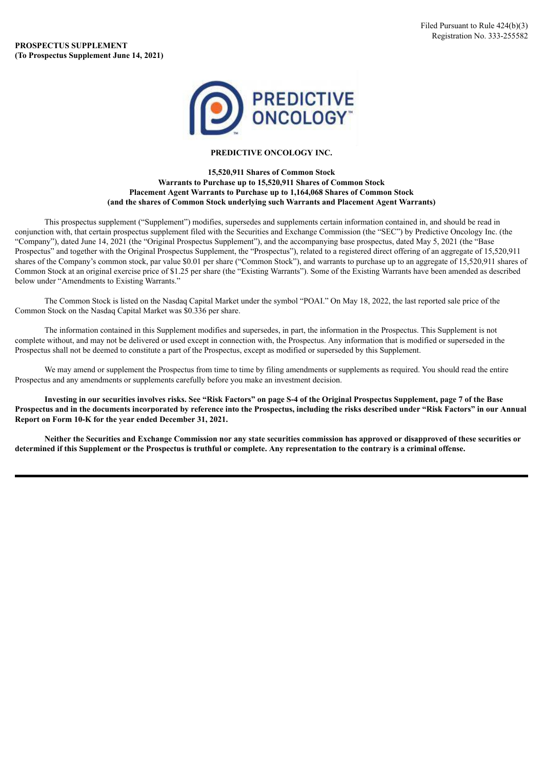

## **PREDICTIVE ONCOLOGY INC.**

## **15,520,911 Shares of Common Stock Warrants to Purchase up to 15,520,911 Shares of Common Stock Placement Agent Warrants to Purchase up to 1,164,068 Shares of Common Stock (and the shares of Common Stock underlying such Warrants and Placement Agent Warrants)**

This prospectus supplement ("Supplement") modifies, supersedes and supplements certain information contained in, and should be read in conjunction with, that certain prospectus supplement filed with the Securities and Exchange Commission (the "SEC") by Predictive Oncology Inc. (the "Company"), dated June 14, 2021 (the "Original Prospectus Supplement"), and the accompanying base prospectus, dated May 5, 2021 (the "Base Prospectus" and together with the Original Prospectus Supplement, the "Prospectus"), related to a registered direct offering of an aggregate of 15,520,911 shares of the Company's common stock, par value \$0.01 per share ("Common Stock"), and warrants to purchase up to an aggregate of 15,520,911 shares of Common Stock at an original exercise price of \$1.25 per share (the "Existing Warrants"). Some of the Existing Warrants have been amended as described below under "Amendments to Existing Warrants."

The Common Stock is listed on the Nasdaq Capital Market under the symbol "POAI." On May 18, 2022, the last reported sale price of the Common Stock on the Nasdaq Capital Market was \$0.336 per share.

The information contained in this Supplement modifies and supersedes, in part, the information in the Prospectus. This Supplement is not complete without, and may not be delivered or used except in connection with, the Prospectus. Any information that is modified or superseded in the Prospectus shall not be deemed to constitute a part of the Prospectus, except as modified or superseded by this Supplement.

We may amend or supplement the Prospectus from time to time by filing amendments or supplements as required. You should read the entire Prospectus and any amendments or supplements carefully before you make an investment decision.

Investing in our securities involves risks. See "Risk Factors" on page S-4 of the Original Prospectus Supplement, page 7 of the Base Prospectus and in the documents incorporated by reference into the Prospectus, including the risks described under "Risk Factors" in our Annual **Report on Form 10-K for the year ended December 31, 2021.**

Neither the Securities and Exchange Commission nor any state securities commission has approved or disapproved of these securities or determined if this Supplement or the Prospectus is truthful or complete. Any representation to the contrary is a criminal offense.